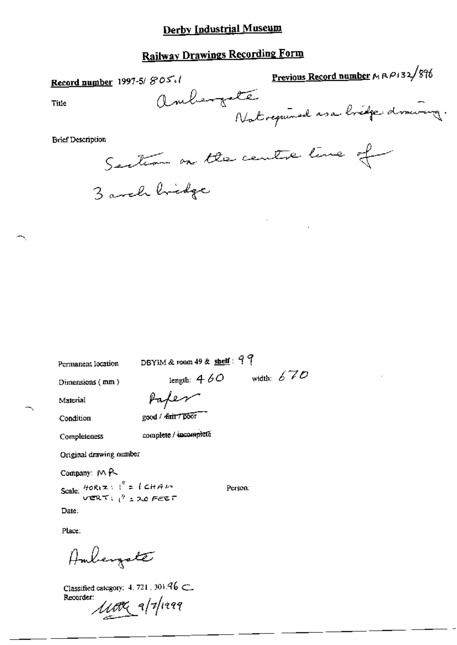## **Railway Drawings Recording Form**

| Record number 1997-5/805.1                                | <u>Previous Record number</u> $M \wedge P$ 132/896 |
|-----------------------------------------------------------|----------------------------------------------------|
| Title                                                     | ambergate                                          |
| <b>Brief Description</b><br>Sention on the centre time of |                                                    |

3 avel bridge

Permanent location

DBYIM & room 49 & shelf: 99

Dimensions (mm)

length:  $460$  width:  $670$ 

Material

Paper

Condition

good / dair / poor

Completeness

complete / incomplete

Original drawing number

Company: MR

Scale:  $\frac{H\no R(z)}{V^n}$  =  $\left\{CHAW - V^n \right\}$  = 20 FEET

Person:

Date:

Place:

Ambergate

Classified category: 4, 721, 301. $46 \subset$ Recorder:  $\mu$ or 1/1/1999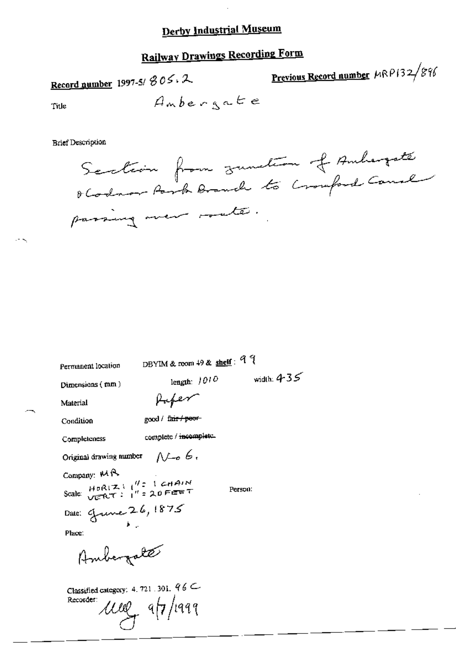# **Railway Drawings Recording Form**

Previous Record number MRP132/896 Record number 1997-5/ $305.2$ Ambergate Title

**Brief Description** 

Permanent location

DBYIM & room 49 & shelf: 99

Dimensions (mm)

Pufer

good / fair / peor-

Condition

Material

Completeness

complete / incomplete.

 $N\rightarrow 6$ Original drawing number

Company: MA

Scale:  $\frac{H\triangleright R(Z)}{V\triangleright R(T)}$   $\frac{WZ}{T}$  = 20 FEET

Person:

length:  $1010$  width:  $435$ 

Date: Grune 26, 1875

Place:

Ambergate

Classified category: 4, 721, 301,  $96 \subset$ Recorder: und applies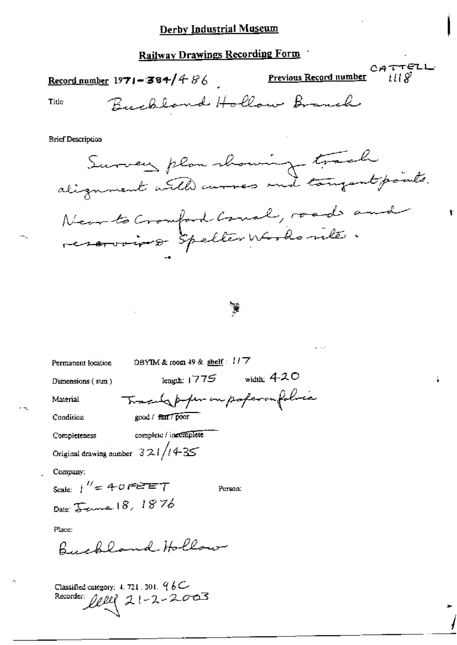#### Railway Drawings Recording Form

CATTELL Record number 1971 = 384/4 86 Previous Record number i II SP Buckland Hollow Branch Title **Brief Description** Survey plan showing track Near to Cromford Cornal, road and reservoire spelter Words rite ¥ DBYIM & room 49 & shelf:  $117$ Permanent location length:  $1775$  width:  $420$ Dimensions (mm) Tracely poper on poperon folice Material Condition good / fair / poor complete / incomplete Completeness Original drawing number  $321/14-35$ Company: Scale:  $1'' = 40$  FEET Person: Date: *Jame* 18, 1876 Place: Buckland Hollow Classified category: 4, 721, 301,  $96C$ 

ŧ

Recorder  $21 - 2 - 2003$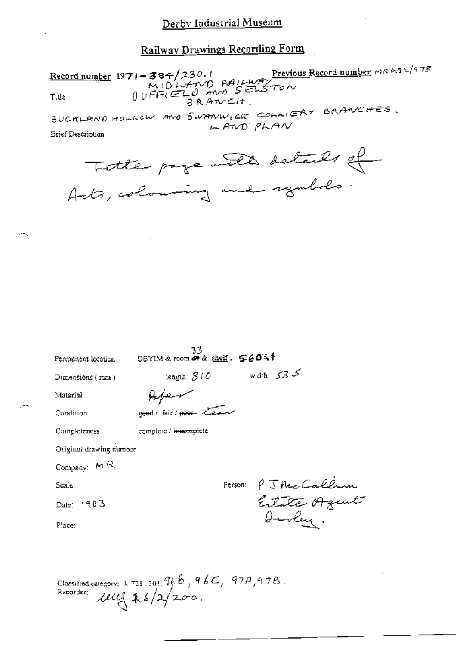## Railway Drawings Recording Form

Record number 1971 - 384/230.1<br>MIDLAND RAILWAY<br>Title  $0 \vee F \in L^{\infty}$ <br>BRANCH. BUCKLAND HOLLOW AND SWANWICK COLLIERY BAANCHES.  $F$  $AND$  $P$  $F$  $AV$ 

**Brief Description** 

| Totte page with details of   |  |
|------------------------------|--|
| Acts, colouring and symbols. |  |

| Permanent location      | 33<br>DBYIM & room of & shelf: 56041  |                       |
|-------------------------|---------------------------------------|-----------------------|
| Dimensions (man)        | iength: $\mathcal{S}$ ( $\mathcal{O}$ | width: $535$          |
| Material                |                                       |                       |
| Condition               | geed / fair / poor team               |                       |
| Completeness            | complete / i <del>nuomplet</del> e    |                       |
| Original drawing number |                                       |                       |
| Company: $M$ R          |                                       |                       |
| Scale:                  |                                       |                       |
| Date: $1903$            |                                       | Person: PJ Nec Callum |
| Place:                  |                                       | Aurley.               |
|                         |                                       |                       |
|                         |                                       |                       |

Classified category: 1.721.301.96B, 96C, 97A, 97B.<br>Recorder:  $\text{UU}_3^4$  \$ 6/2/2001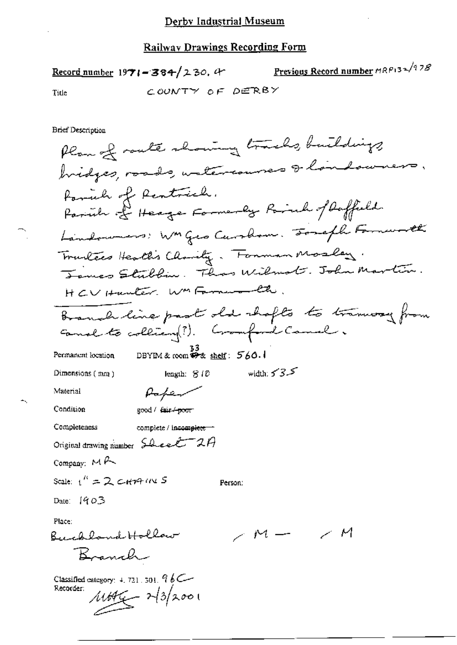#### **Railway Drawings Recording Form**

|       | Record number $1971 - 384 / 230$ , 4 | Previous Record number MRP132/978 |
|-------|--------------------------------------|-----------------------------------|
| Title | COUNTY OF DERBY                      |                                   |

**Brief Description** 

Plan of route showing tracks, buildings, bridges, roads, watercourses & landowners. Formule of Rentacide. Parish of Heage Formerly Rich of Daffeeld Landowners: WM Geo Carolism. Someth Formusett Trackers Healtis Charity. Forman Mosley. James Stubbin. Thas Wilmot. John Martin. HCV Hunter WM Farmenonth. Branch line past old shafts to transvay from cannel to colliany ?). Cromford Canal. DBYIM & room  $\overbrace{P^*}$  shelf:  $560.1$ Permanent location width:  $535$ Dimensions (mm) length:  $810$ Material Paper Condition good / fair + poor complete / incomplete -Completeness Original drawing number Sheet 2A Company: MA Scale:  $1'' = 2$  c-HMM S Person: Date:  $1403$ Place: Buchland Hollow  $\sim$   $\mathcal{M}$  -Branch Classified category: 4, 721, 301,  $96C -$ Recorder: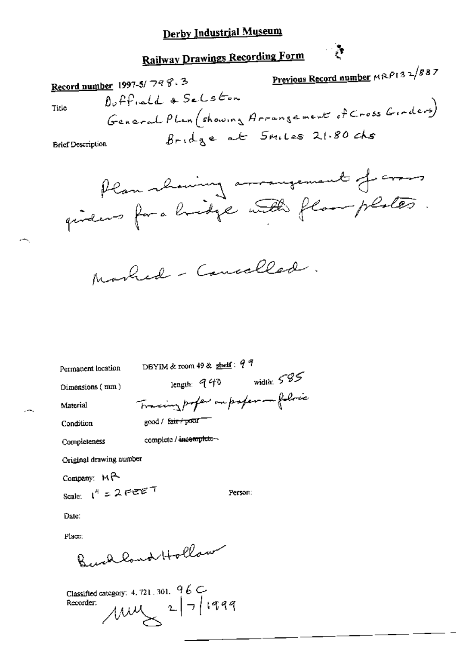**Railway Drawings Recording Form** 

Previous Record number MRP132/887 Record number 1997-5/798.3 Duffield & Selston General Plan (showing Arrangement of Cross Girders) Title Bridge at 5miles 21.80 chs **Brief Description** 

 $\frac{1}{2}$ 

Plan showing arrangement from quideus for a bridge with flamplates.

Person:

Marked - Cancelled.

Permanent location

DBYIM & room 49 & shelf:  $9<sup>9</sup>$ 

Dimensions  $(mm)$ 

length:  $940$  width:  $585$ Tracing profer our profer - follow

Condition

Material

good / fair / pour

complete / incomplete-

Completeness

Original drawing number

Company: MP Scale:  $1^{4}$  = 2 FEET

Date:

Place:

wellowd Hollow

Classified category: 4, 721, 301,  $96 \text{ C}$  $\mu$   $\mu$   $\sim$   $27/1999$ Recorder: